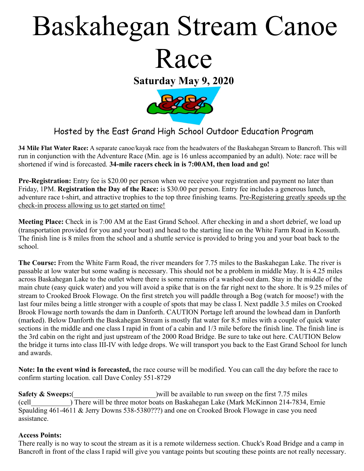# Baskahegan Stream Canoe Race

Saturday May 9, 2020



## Hosted by the East Grand High School Outdoor Education Program

34 Mile Flat Water Race: A separate canoe/kayak race from the headwaters of the Baskahegan Stream to Bancroft. This will run in conjunction with the Adventure Race (Min. age is 16 unless accompanied by an adult). Note: race will be shortened if wind is forecasted. 34-mile racers check in is 7:00AM, then load and go!

Pre-Registration: Entry fee is \$20.00 per person when we receive your registration and payment no later than Friday, 1PM. Registration the Day of the Race: is \$30.00 per person. Entry fee includes a generous lunch, adventure race t-shirt, and attractive trophies to the top three finishing teams. Pre-Registering greatly speeds up the check-in process allowing us to get started on time!

Meeting Place: Check in is 7:00 AM at the East Grand School. After checking in and a short debrief, we load up (transportation provided for you and your boat) and head to the starting line on the White Farm Road in Kossuth. The finish line is 8 miles from the school and a shuttle service is provided to bring you and your boat back to the school.

The Course: From the White Farm Road, the river meanders for 7.75 miles to the Baskahegan Lake. The river is passable at low water but some wading is necessary. This should not be a problem in middle May. It is 4.25 miles across Baskahegan Lake to the outlet where there is some remains of a washed-out dam. Stay in the middle of the main chute (easy quick water) and you will avoid a spike that is on the far right next to the shore. It is 9.25 miles of stream to Crooked Brook Flowage. On the first stretch you will paddle through a Bog (watch for moose!) with the last four miles being a little stronger with a couple of spots that may be class I. Next paddle 3.5 miles on Crooked Brook Flowage north towards the dam in Danforth. CAUTION Portage left around the lowhead dam in Danforth (marked). Below Danforth the Baskahegan Stream is mostly flat water for 8.5 miles with a couple of quick water sections in the middle and one class I rapid in front of a cabin and 1/3 mile before the finish line. The finish line is the 3rd cabin on the right and just upstream of the 2000 Road Bridge. Be sure to take out here. CAUTION Below the bridge it turns into class III-IV with ledge drops. We will transport you back to the East Grand School for lunch and awards.

Note: In the event wind is forecasted, the race course will be modified. You can call the day before the race to confirm starting location. call Dave Conley 551-8729

Safety  $\&$  Sweeps: ( $\qquad \qquad$  ) will be available to run sweep on the first 7.75 miles (cell\_\_\_\_\_\_\_\_\_\_\_) There will be three motor boats on Baskahegan Lake (Mark McKinnon 214-7834, Ernie Spaulding 461-4611 & Jerry Downs 538-5380???) and one on Crooked Brook Flowage in case you need assistance.

#### Access Points:

There really is no way to scout the stream as it is a remote wilderness section. Chuck's Road Bridge and a camp in Bancroft in front of the class I rapid will give you vantage points but scouting these points are not really necessary.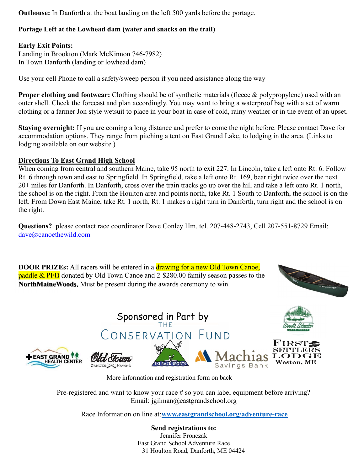Outhouse: In Danforth at the boat landing on the left 500 yards before the portage.

#### Portage Left at the Lowhead dam (water and snacks on the trail)

#### Early Exit Points:

Landing in Brookton (Mark McKinnon 746-7982) In Town Danforth (landing or lowhead dam)

Use your cell Phone to call a safety/sweep person if you need assistance along the way

Proper clothing and footwear: Clothing should be of synthetic materials (fleece & polypropylene) used with an outer shell. Check the forecast and plan accordingly. You may want to bring a waterproof bag with a set of warm clothing or a farmer Jon style wetsuit to place in your boat in case of cold, rainy weather or in the event of an upset.

Staying overnight: If you are coming a long distance and prefer to come the night before. Please contact Dave for accommodation options. They range from pitching a tent on East Grand Lake, to lodging in the area. (Links to lodging available on our website.)

#### Directions To East Grand High School

When coming from central and southern Maine, take 95 north to exit 227. In Lincoln, take a left onto Rt. 6. Follow Rt. 6 through town and east to Springfield. In Springfield, take a left onto Rt. 169, bear right twice over the next 20+ miles for Danforth. In Danforth, cross over the train tracks go up over the hill and take a left onto Rt. 1 north, the school is on the right. From the Houlton area and points north, take Rt. 1 South to Danforth, the school is on the left. From Down East Maine, take Rt. 1 north, Rt. 1 makes a right turn in Danforth, turn right and the school is on the right.

Questions? please contact race coordinator Dave Conley Hm. tel. 207-448-2743, Cell 207-551-8729 Email: dave@canoethewild.com

**DOOR PRIZEs:** All racers will be entered in a drawing for a new Old Town Canoe, paddle & PFD donated by Old Town Canoe and 2-\$280.00 family season passes to the NorthMaineWoods. Must be present during the awards ceremony to win.





More information and registration form on back

Pre-registered and want to know your race # so you can label equipment before arriving? Email: jgilman@eastgrandschool.org

Race Information on line at:www.eastgrandschool.org/adventure-race

Send registrations to: Jennifer Fronczak East Grand School Adventure Race 31 Houlton Road, Danforth, ME 04424